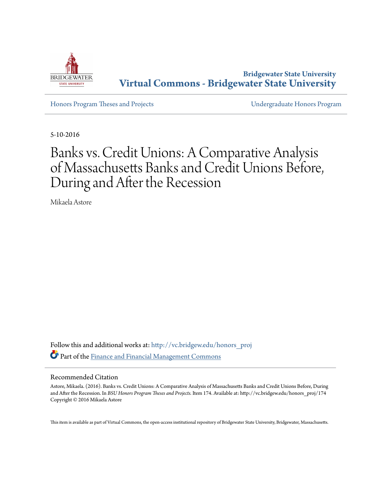

**Bridgewater State University [Virtual Commons - Bridgewater State University](http://vc.bridgew.edu?utm_source=vc.bridgew.edu%2Fhonors_proj%2F174&utm_medium=PDF&utm_campaign=PDFCoverPages)**

[Honors Program Theses and Projects](http://vc.bridgew.edu/honors_proj?utm_source=vc.bridgew.edu%2Fhonors_proj%2F174&utm_medium=PDF&utm_campaign=PDFCoverPages) [Undergraduate Honors Program](http://vc.bridgew.edu/honors?utm_source=vc.bridgew.edu%2Fhonors_proj%2F174&utm_medium=PDF&utm_campaign=PDFCoverPages)

5-10-2016

# Banks vs. Credit Unions: A Comparative Analysis of Massachusetts Banks and Credit Unions Before, During and After the Recession

Mikaela Astore

Follow this and additional works at: [http://vc.bridgew.edu/honors\\_proj](http://vc.bridgew.edu/honors_proj?utm_source=vc.bridgew.edu%2Fhonors_proj%2F174&utm_medium=PDF&utm_campaign=PDFCoverPages) Part of the [Finance and Financial Management Commons](http://network.bepress.com/hgg/discipline/631?utm_source=vc.bridgew.edu%2Fhonors_proj%2F174&utm_medium=PDF&utm_campaign=PDFCoverPages)

#### Recommended Citation

Astore, Mikaela. (2016). Banks vs. Credit Unions: A Comparative Analysis of Massachusetts Banks and Credit Unions Before, During and After the Recession. In *BSU Honors Program Theses and Projects.* Item 174. Available at: http://vc.bridgew.edu/honors\_proj/174 Copyright © 2016 Mikaela Astore

This item is available as part of Virtual Commons, the open-access institutional repository of Bridgewater State University, Bridgewater, Massachusetts.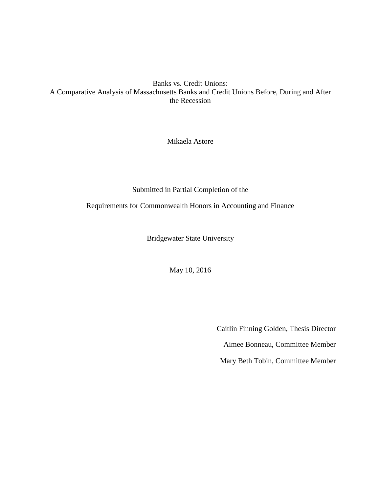Banks vs. Credit Unions: A Comparative Analysis of Massachusetts Banks and Credit Unions Before, During and After the Recession

Mikaela Astore

Submitted in Partial Completion of the

Requirements for Commonwealth Honors in Accounting and Finance

Bridgewater State University

May 10, 2016

Caitlin Finning Golden, Thesis Director Aimee Bonneau, Committee Member Mary Beth Tobin, Committee Member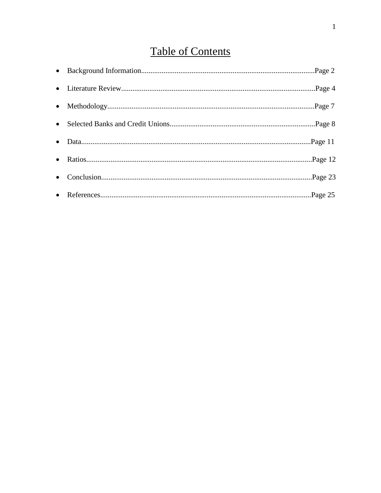# **Table of Contents**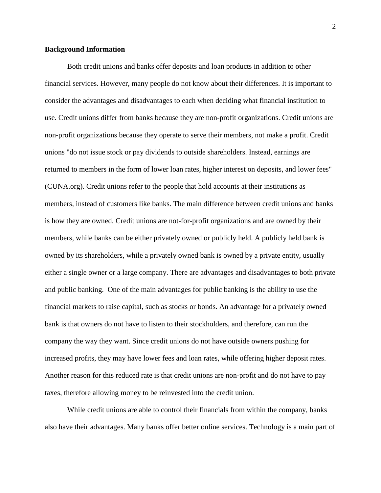#### **Background Information**

Both credit unions and banks offer deposits and loan products in addition to other financial services. However, many people do not know about their differences. It is important to consider the advantages and disadvantages to each when deciding what financial institution to use. Credit unions differ from banks because they are non-profit organizations. Credit unions are non-profit organizations because they operate to serve their members, not make a profit. Credit unions "do not issue stock or pay dividends to outside shareholders. Instead, earnings are returned to members in the form of lower loan rates, higher interest on deposits, and lower fees" (CUNA.org). Credit unions refer to the people that hold accounts at their institutions as members, instead of customers like banks. The main difference between credit unions and banks is how they are owned. Credit unions are not-for-profit organizations and are owned by their members, while banks can be either privately owned or publicly held. A publicly held bank is owned by its shareholders, while a privately owned bank is owned by a private entity, usually either a single owner or a large company. There are advantages and disadvantages to both private and public banking. One of the main advantages for public banking is the ability to use the financial markets to raise capital, such as stocks or bonds. An advantage for a privately owned bank is that owners do not have to listen to their stockholders, and therefore, can run the company the way they want. Since credit unions do not have outside owners pushing for increased profits, they may have lower fees and loan rates, while offering higher deposit rates. Another reason for this reduced rate is that credit unions are non-profit and do not have to pay taxes, therefore allowing money to be reinvested into the credit union.

While credit unions are able to control their financials from within the company, banks also have their advantages. Many banks offer better online services. Technology is a main part of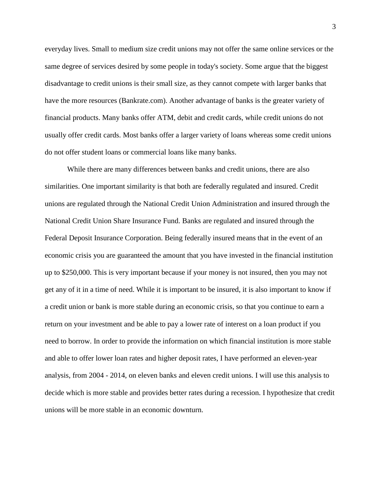everyday lives. Small to medium size credit unions may not offer the same online services or the same degree of services desired by some people in today's society. Some argue that the biggest disadvantage to credit unions is their small size, as they cannot compete with larger banks that have the more resources (Bankrate.com). Another advantage of banks is the greater variety of financial products. Many banks offer ATM, debit and credit cards, while credit unions do not usually offer credit cards. Most banks offer a larger variety of loans whereas some credit unions do not offer student loans or commercial loans like many banks.

While there are many differences between banks and credit unions, there are also similarities. One important similarity is that both are federally regulated and insured. Credit unions are regulated through the National Credit Union Administration and insured through the National Credit Union Share Insurance Fund. Banks are regulated and insured through the Federal Deposit Insurance Corporation. Being federally insured means that in the event of an economic crisis you are guaranteed the amount that you have invested in the financial institution up to \$250,000. This is very important because if your money is not insured, then you may not get any of it in a time of need. While it is important to be insured, it is also important to know if a credit union or bank is more stable during an economic crisis, so that you continue to earn a return on your investment and be able to pay a lower rate of interest on a loan product if you need to borrow. In order to provide the information on which financial institution is more stable and able to offer lower loan rates and higher deposit rates, I have performed an eleven-year analysis, from 2004 - 2014, on eleven banks and eleven credit unions. I will use this analysis to decide which is more stable and provides better rates during a recession. I hypothesize that credit unions will be more stable in an economic downturn.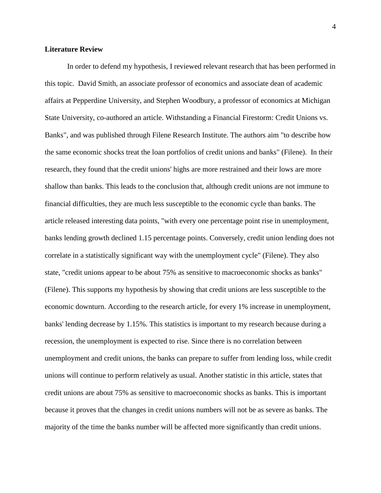#### **Literature Review**

In order to defend my hypothesis, I reviewed relevant research that has been performed in this topic. David Smith, an associate professor of economics and associate dean of academic affairs at Pepperdine University, and Stephen Woodbury, a professor of economics at Michigan State University, co-authored an article. Withstanding a Financial Firestorm: Credit Unions vs. Banks", and was published through Filene Research Institute. The authors aim "to describe how the same economic shocks treat the loan portfolios of credit unions and banks" (Filene). In their research, they found that the credit unions' highs are more restrained and their lows are more shallow than banks. This leads to the conclusion that, although credit unions are not immune to financial difficulties, they are much less susceptible to the economic cycle than banks. The article released interesting data points, "with every one percentage point rise in unemployment, banks lending growth declined 1.15 percentage points. Conversely, credit union lending does not correlate in a statistically significant way with the unemployment cycle" (Filene). They also state, "credit unions appear to be about 75% as sensitive to macroeconomic shocks as banks" (Filene). This supports my hypothesis by showing that credit unions are less susceptible to the economic downturn. According to the research article, for every 1% increase in unemployment, banks' lending decrease by 1.15%. This statistics is important to my research because during a recession, the unemployment is expected to rise. Since there is no correlation between unemployment and credit unions, the banks can prepare to suffer from lending loss, while credit unions will continue to perform relatively as usual. Another statistic in this article, states that credit unions are about 75% as sensitive to macroeconomic shocks as banks. This is important because it proves that the changes in credit unions numbers will not be as severe as banks. The majority of the time the banks number will be affected more significantly than credit unions.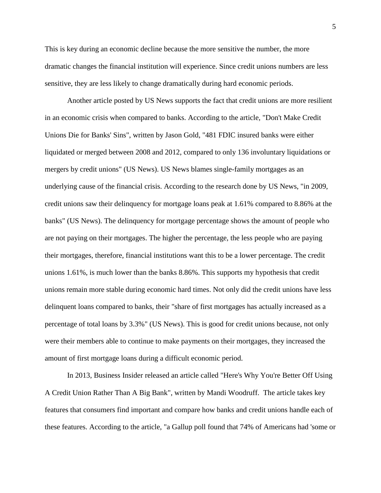This is key during an economic decline because the more sensitive the number, the more dramatic changes the financial institution will experience. Since credit unions numbers are less sensitive, they are less likely to change dramatically during hard economic periods.

Another article posted by US News supports the fact that credit unions are more resilient in an economic crisis when compared to banks. According to the article, "Don't Make Credit Unions Die for Banks' Sins", written by Jason Gold, "481 FDIC insured banks were either liquidated or merged between 2008 and 2012, compared to only 136 involuntary liquidations or mergers by credit unions" (US News). US News blames single-family mortgages as an underlying cause of the financial crisis. According to the research done by US News, "in 2009, credit unions saw their delinquency for mortgage loans peak at 1.61% compared to 8.86% at the banks" (US News). The delinquency for mortgage percentage shows the amount of people who are not paying on their mortgages. The higher the percentage, the less people who are paying their mortgages, therefore, financial institutions want this to be a lower percentage. The credit unions 1.61%, is much lower than the banks 8.86%. This supports my hypothesis that credit unions remain more stable during economic hard times. Not only did the credit unions have less delinquent loans compared to banks, their "share of first mortgages has actually increased as a percentage of total loans by 3.3%" (US News). This is good for credit unions because, not only were their members able to continue to make payments on their mortgages, they increased the amount of first mortgage loans during a difficult economic period.

In 2013, Business Insider released an article called "Here's Why You're Better Off Using A Credit Union Rather Than A Big Bank", written by Mandi Woodruff. The article takes key features that consumers find important and compare how banks and credit unions handle each of these features. According to the article, "a Gallup poll found that 74% of Americans had 'some or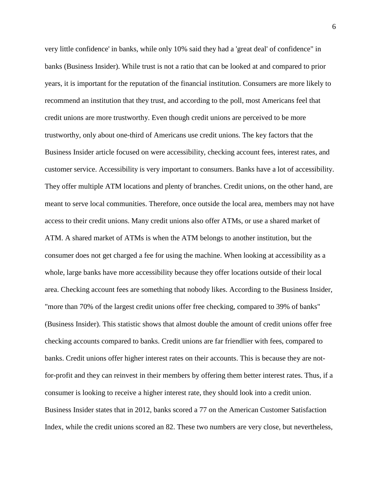very little confidence' in banks, while only 10% said they had a 'great deal' of confidence" in banks (Business Insider). While trust is not a ratio that can be looked at and compared to prior years, it is important for the reputation of the financial institution. Consumers are more likely to recommend an institution that they trust, and according to the poll, most Americans feel that credit unions are more trustworthy. Even though credit unions are perceived to be more trustworthy, only about one-third of Americans use credit unions. The key factors that the Business Insider article focused on were accessibility, checking account fees, interest rates, and customer service. Accessibility is very important to consumers. Banks have a lot of accessibility. They offer multiple ATM locations and plenty of branches. Credit unions, on the other hand, are meant to serve local communities. Therefore, once outside the local area, members may not have access to their credit unions. Many credit unions also offer ATMs, or use a shared market of ATM. A shared market of ATMs is when the ATM belongs to another institution, but the consumer does not get charged a fee for using the machine. When looking at accessibility as a whole, large banks have more accessibility because they offer locations outside of their local area. Checking account fees are something that nobody likes. According to the Business Insider, "more than 70% of the largest credit unions offer free checking, compared to 39% of banks" (Business Insider). This statistic shows that almost double the amount of credit unions offer free checking accounts compared to banks. Credit unions are far friendlier with fees, compared to banks. Credit unions offer higher interest rates on their accounts. This is because they are notfor-profit and they can reinvest in their members by offering them better interest rates. Thus, if a consumer is looking to receive a higher interest rate, they should look into a credit union. Business Insider states that in 2012, banks scored a 77 on the American Customer Satisfaction Index, while the credit unions scored an 82. These two numbers are very close, but nevertheless,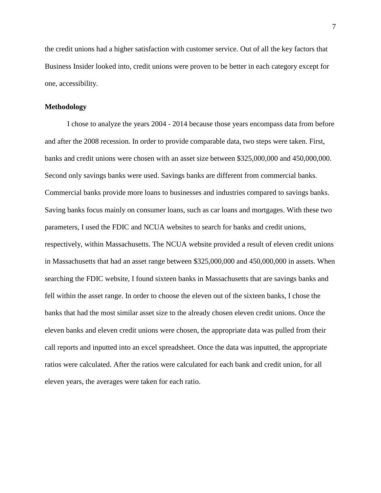the credit unions had a higher satisfaction with customer service. Out of all the key factors that Business Insider looked into, credit unions were proven to be better in each category except for one, accessibility.

#### **Methodology**

I chose to analyze the years 2004 - 2014 because those years encompass data from before and after the 2008 recession. In order to provide comparable data, two steps were taken. First, banks and credit unions were chosen with an asset size between \$325,000,000 and 450,000,000. Second only savings banks were used. Savings banks are different from commercial banks. Commercial banks provide more loans to businesses and industries compared to savings banks. Saving banks focus mainly on consumer loans, such as car loans and mortgages. With these two parameters, I used the FDIC and NCUA websites to search for banks and credit unions, respectively, within Massachusetts. The NCUA website provided a result of eleven credit unions in Massachusetts that had an asset range between \$325,000,000 and 450,000,000 in assets. When searching the FDIC website, I found sixteen banks in Massachusetts that are savings banks and fell within the asset range. In order to choose the eleven out of the sixteen banks, I chose the banks that had the most similar asset size to the already chosen eleven credit unions. Once the eleven banks and eleven credit unions were chosen, the appropriate data was pulled from their call reports and inputted into an excel spreadsheet. Once the data was inputted, the appropriate ratios were calculated. After the ratios were calculated for each bank and credit union, for all eleven years, the averages were taken for each ratio.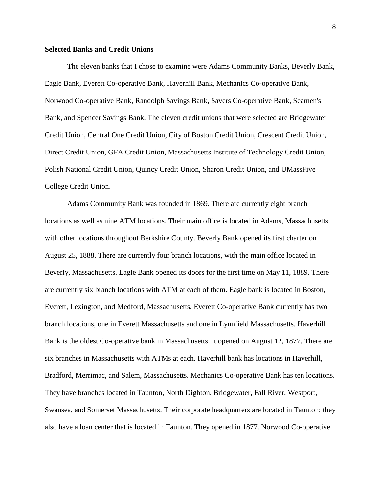#### **Selected Banks and Credit Unions**

The eleven banks that I chose to examine were Adams Community Banks, Beverly Bank, Eagle Bank, Everett Co-operative Bank, Haverhill Bank, Mechanics Co-operative Bank, Norwood Co-operative Bank, Randolph Savings Bank, Savers Co-operative Bank, Seamen's Bank, and Spencer Savings Bank. The eleven credit unions that were selected are Bridgewater Credit Union, Central One Credit Union, City of Boston Credit Union, Crescent Credit Union, Direct Credit Union, GFA Credit Union, Massachusetts Institute of Technology Credit Union, Polish National Credit Union, Quincy Credit Union, Sharon Credit Union, and UMassFive College Credit Union.

Adams Community Bank was founded in 1869. There are currently eight branch locations as well as nine ATM locations. Their main office is located in Adams, Massachusetts with other locations throughout Berkshire County. Beverly Bank opened its first charter on August 25, 1888. There are currently four branch locations, with the main office located in Beverly, Massachusetts. Eagle Bank opened its doors for the first time on May 11, 1889. There are currently six branch locations with ATM at each of them. Eagle bank is located in Boston, Everett, Lexington, and Medford, Massachusetts. Everett Co-operative Bank currently has two branch locations, one in Everett Massachusetts and one in Lynnfield Massachusetts. Haverhill Bank is the oldest Co-operative bank in Massachusetts. It opened on August 12, 1877. There are six branches in Massachusetts with ATMs at each. Haverhill bank has locations in Haverhill, Bradford, Merrimac, and Salem, Massachusetts. Mechanics Co-operative Bank has ten locations. They have branches located in Taunton, North Dighton, Bridgewater, Fall River, Westport, Swansea, and Somerset Massachusetts. Their corporate headquarters are located in Taunton; they also have a loan center that is located in Taunton. They opened in 1877. Norwood Co-operative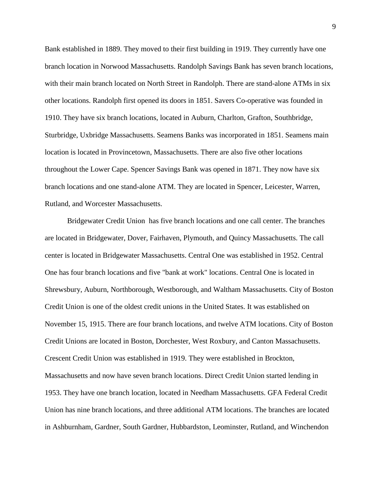Bank established in 1889. They moved to their first building in 1919. They currently have one branch location in Norwood Massachusetts. Randolph Savings Bank has seven branch locations, with their main branch located on North Street in Randolph. There are stand-alone ATMs in six other locations. Randolph first opened its doors in 1851. Savers Co-operative was founded in 1910. They have six branch locations, located in Auburn, Charlton, Grafton, Southbridge, Sturbridge, Uxbridge Massachusetts. Seamens Banks was incorporated in 1851. Seamens main location is located in Provincetown, Massachusetts. There are also five other locations throughout the Lower Cape. Spencer Savings Bank was opened in 1871. They now have six branch locations and one stand-alone ATM. They are located in Spencer, Leicester, Warren, Rutland, and Worcester Massachusetts.

Bridgewater Credit Union has five branch locations and one call center. The branches are located in Bridgewater, Dover, Fairhaven, Plymouth, and Quincy Massachusetts. The call center is located in Bridgewater Massachusetts. Central One was established in 1952. Central One has four branch locations and five "bank at work" locations. Central One is located in Shrewsbury, Auburn, Northborough, Westborough, and Waltham Massachusetts. City of Boston Credit Union is one of the oldest credit unions in the United States. It was established on November 15, 1915. There are four branch locations, and twelve ATM locations. City of Boston Credit Unions are located in Boston, Dorchester, West Roxbury, and Canton Massachusetts. Crescent Credit Union was established in 1919. They were established in Brockton, Massachusetts and now have seven branch locations. Direct Credit Union started lending in 1953. They have one branch location, located in Needham Massachusetts. GFA Federal Credit Union has nine branch locations, and three additional ATM locations. The branches are located in Ashburnham, Gardner, South Gardner, Hubbardston, Leominster, Rutland, and Winchendon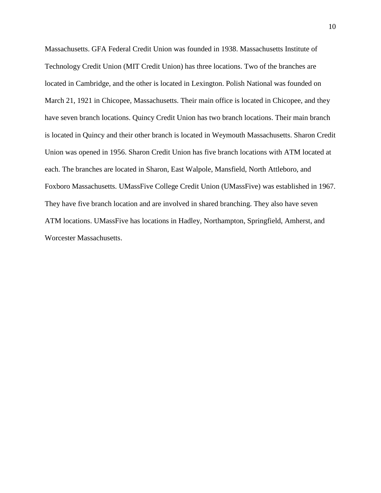Massachusetts. GFA Federal Credit Union was founded in 1938. Massachusetts Institute of Technology Credit Union (MIT Credit Union) has three locations. Two of the branches are located in Cambridge, and the other is located in Lexington. Polish National was founded on March 21, 1921 in Chicopee, Massachusetts. Their main office is located in Chicopee, and they have seven branch locations. Quincy Credit Union has two branch locations. Their main branch is located in Quincy and their other branch is located in Weymouth Massachusetts. Sharon Credit Union was opened in 1956. Sharon Credit Union has five branch locations with ATM located at each. The branches are located in Sharon, East Walpole, Mansfield, North Attleboro, and Foxboro Massachusetts. UMassFive College Credit Union (UMassFive) was established in 1967. They have five branch location and are involved in shared branching. They also have seven ATM locations. UMassFive has locations in Hadley, Northampton, Springfield, Amherst, and Worcester Massachusetts.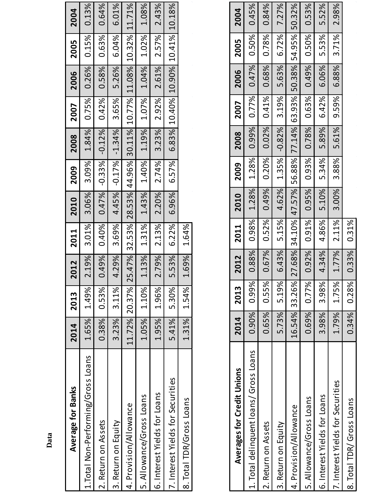| Average for Banks                  | 2014  | 2013          |       | 2012   2011   2010                                             |       | 2009  | 2008                                                   | 2007 | 2006        | 2005  | 2004  |
|------------------------------------|-------|---------------|-------|----------------------------------------------------------------|-------|-------|--------------------------------------------------------|------|-------------|-------|-------|
| 1.Total Non-Performing/Gross Loans |       | 1.65% 1.49%   | 2.19% | 3.01%                                                          | 3.06% | 3.09% | 1.84%                                                  |      | 0.75% 0.26% | 0.15% | 0.13% |
| 2. Return on Assets                | 0.38% | 0.53%         | 0.49% | 0.40%                                                          |       |       | $0.47\%$ $-0.33\%$ $-0.12\%$ 0.42% 0.58%               |      |             | 0.63% | 0.64% |
| 3. Return on Equity                |       | 3.23% 3.11%   |       | 4.29% 3.69% 4.45% -0.17% -1.34% 3.65% 5.26% 6.04%              |       |       |                                                        |      |             |       | 6.01% |
| 4. Provision/Allowance             |       | 11.72% 20.37% |       | 25.47% 32.53% 28.53% 44.96% 30.11% 10.77% 11.08% 10.32% 11.71% |       |       |                                                        |      |             |       |       |
| 5. Allowance/Gross Loans           |       | 1.05% 1.10%   |       | 1.13% 1.31% 1.43% 1.40% 1.19% 1.07% 1.04% 1.02%                |       |       |                                                        |      |             |       | 1.08% |
| 6. Interest Yields for Loans       |       | 1.95% 1.96%   |       | 2.79% 2.13% 2.20% 2.74%                                        |       |       | 3.23% 2.92% 2.61% 2.57%                                |      |             |       | 2.43% |
| 7. Interest Yields for Securities  |       | 5.41% 5.30%   | 5.53% |                                                                |       |       | $6.22\%$ 6.96% 6.57% 6.83% 10.40% 10.90% 10.41% 10.18% |      |             |       |       |
| 8. Total TDR/Gross Loans           |       | 1.31% 1.54%   | 1.69% | 1.64%                                                          |       |       |                                                        |      |             |       |       |

| <b>Averages for Credit Unions</b>      | 2014          | <b>2013</b> |                                                                | 2012 2011      | <b>2010</b>                      | 2009 | 2008 | 2007                    | 2006                                       | 2005           | 2004  |
|----------------------------------------|---------------|-------------|----------------------------------------------------------------|----------------|----------------------------------|------|------|-------------------------|--------------------------------------------|----------------|-------|
| 1. Total delinquent loans/ Gross Loans |               | 0.90% 0.99% |                                                                | 0.88% 0.98%    | 1.28% 1.28%                      |      |      | $0.99\%$ 0.77% 0.47%    |                                            | 0.50%          | 0.45% |
| 2. Return on Assets                    |               | 0.65% 0.55% |                                                                | $0.67\%$ 0.52% | 0.49% 0.20%                      |      |      | 0.02% 0.41% 0.68%       |                                            | 0.78%          | 0.84% |
| 3. Return on Equity                    |               | 5.73% 5.19% |                                                                |                |                                  |      |      |                         | 6.43% 5.15% 4.62% 1.35% -0.82% 3.19% 5.63% | $6.72\%$ 7.27% |       |
| 4. Provision/Allowance                 | 16.54% 33.26% |             | 27.68% 34.10% 47.57% 56.88% 77.14% 63.93% 50.38% 54.95% 50.32% |                |                                  |      |      |                         |                                            |                |       |
| 5. Allowance/Gross Loans               |               | 0.69% 0.77% |                                                                |                | $0.92\%$   0.91%   0.95%   0.93% |      |      | 0.78% 0.63%             | 0.49%                                      | 0.50%          | 0.53% |
| 6. Interest Yields for Loans           |               | 3.98% 3.98% |                                                                | 4.34% 4.86%    | 5.10% 5.34%                      |      |      | 5.89% 6.42%             | 6.06%                                      | 5.53%          | 5.52% |
| 7. Interest Yields for Securities      |               | 1.79% 1.75% |                                                                | 1.77% 2.11%    |                                  |      |      | 3.00% 3.88% 5.61% 9.59% | 6.88%                                      | 3.71%          | 2.98% |
| 8. Total TDR/ Gross Loans              |               | 0.34% 0.28% |                                                                | 0.33% 0.31%    |                                  |      |      |                         |                                            |                |       |

**Data**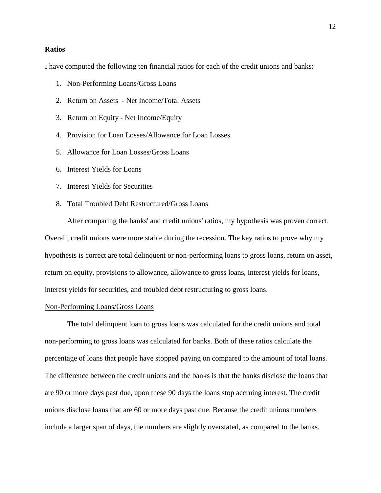#### **Ratios**

I have computed the following ten financial ratios for each of the credit unions and banks:

- 1. Non-Performing Loans/Gross Loans
- 2. Return on Assets Net Income/Total Assets
- 3. Return on Equity Net Income/Equity
- 4. Provision for Loan Losses/Allowance for Loan Losses
- 5. Allowance for Loan Losses/Gross Loans
- 6. Interest Yields for Loans
- 7. Interest Yields for Securities
- 8. Total Troubled Debt Restructured/Gross Loans

After comparing the banks' and credit unions' ratios, my hypothesis was proven correct. Overall, credit unions were more stable during the recession. The key ratios to prove why my hypothesis is correct are total delinquent or non-performing loans to gross loans, return on asset, return on equity, provisions to allowance, allowance to gross loans, interest yields for loans, interest yields for securities, and troubled debt restructuring to gross loans.

#### Non-Performing Loans/Gross Loans

The total delinquent loan to gross loans was calculated for the credit unions and total non-performing to gross loans was calculated for banks. Both of these ratios calculate the percentage of loans that people have stopped paying on compared to the amount of total loans. The difference between the credit unions and the banks is that the banks disclose the loans that are 90 or more days past due, upon these 90 days the loans stop accruing interest. The credit unions disclose loans that are 60 or more days past due. Because the credit unions numbers include a larger span of days, the numbers are slightly overstated, as compared to the banks.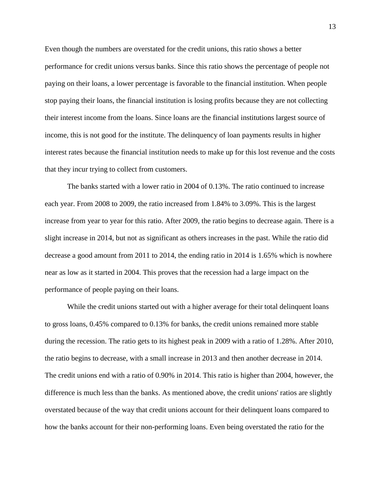Even though the numbers are overstated for the credit unions, this ratio shows a better performance for credit unions versus banks. Since this ratio shows the percentage of people not paying on their loans, a lower percentage is favorable to the financial institution. When people stop paying their loans, the financial institution is losing profits because they are not collecting their interest income from the loans. Since loans are the financial institutions largest source of income, this is not good for the institute. The delinquency of loan payments results in higher interest rates because the financial institution needs to make up for this lost revenue and the costs that they incur trying to collect from customers.

The banks started with a lower ratio in 2004 of 0.13%. The ratio continued to increase each year. From 2008 to 2009, the ratio increased from 1.84% to 3.09%. This is the largest increase from year to year for this ratio. After 2009, the ratio begins to decrease again. There is a slight increase in 2014, but not as significant as others increases in the past. While the ratio did decrease a good amount from 2011 to 2014, the ending ratio in 2014 is 1.65% which is nowhere near as low as it started in 2004. This proves that the recession had a large impact on the performance of people paying on their loans.

While the credit unions started out with a higher average for their total delinquent loans to gross loans, 0.45% compared to 0.13% for banks, the credit unions remained more stable during the recession. The ratio gets to its highest peak in 2009 with a ratio of 1.28%. After 2010, the ratio begins to decrease, with a small increase in 2013 and then another decrease in 2014. The credit unions end with a ratio of 0.90% in 2014. This ratio is higher than 2004, however, the difference is much less than the banks. As mentioned above, the credit unions' ratios are slightly overstated because of the way that credit unions account for their delinquent loans compared to how the banks account for their non-performing loans. Even being overstated the ratio for the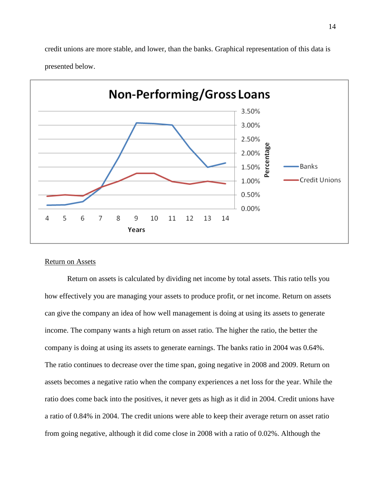credit unions are more stable, and lower, than the banks. Graphical representation of this data is presented below.



#### Return on Assets

Return on assets is calculated by dividing net income by total assets. This ratio tells you how effectively you are managing your assets to produce profit, or net income. Return on assets can give the company an idea of how well management is doing at using its assets to generate income. The company wants a high return on asset ratio. The higher the ratio, the better the company is doing at using its assets to generate earnings. The banks ratio in 2004 was 0.64%. The ratio continues to decrease over the time span, going negative in 2008 and 2009. Return on assets becomes a negative ratio when the company experiences a net loss for the year. While the ratio does come back into the positives, it never gets as high as it did in 2004. Credit unions have a ratio of 0.84% in 2004. The credit unions were able to keep their average return on asset ratio from going negative, although it did come close in 2008 with a ratio of 0.02%. Although the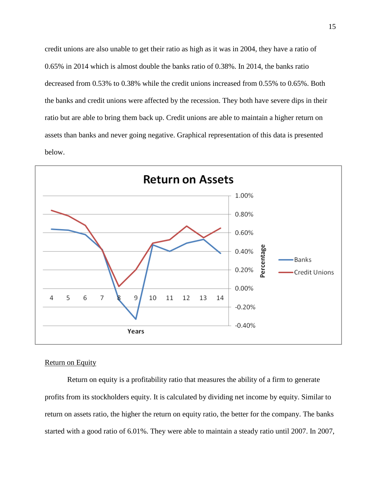credit unions are also unable to get their ratio as high as it was in 2004, they have a ratio of 0.65% in 2014 which is almost double the banks ratio of 0.38%. In 2014, the banks ratio decreased from 0.53% to 0.38% while the credit unions increased from 0.55% to 0.65%. Both the banks and credit unions were affected by the recession. They both have severe dips in their ratio but are able to bring them back up. Credit unions are able to maintain a higher return on assets than banks and never going negative. Graphical representation of this data is presented below.



### Return on Equity

Return on equity is a profitability ratio that measures the ability of a firm to generate profits from its stockholders equity. It is calculated by dividing net income by equity. Similar to return on assets ratio, the higher the return on equity ratio, the better for the company. The banks started with a good ratio of 6.01%. They were able to maintain a steady ratio until 2007. In 2007,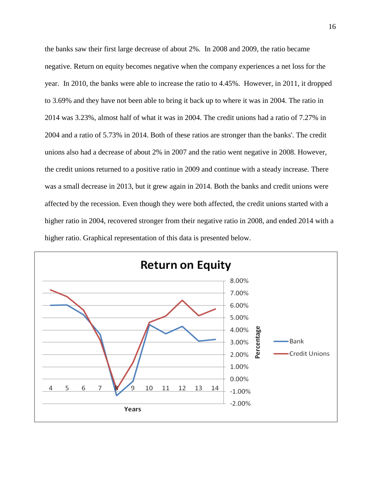the banks saw their first large decrease of about 2%. In 2008 and 2009, the ratio became negative. Return on equity becomes negative when the company experiences a net loss for the year. In 2010, the banks were able to increase the ratio to 4.45%. However, in 2011, it dropped to 3.69% and they have not been able to bring it back up to where it was in 2004. The ratio in 2014 was 3.23%, almost half of what it was in 2004. The credit unions had a ratio of 7.27% in 2004 and a ratio of 5.73% in 2014. Both of these ratios are stronger than the banks'. The credit unions also had a decrease of about 2% in 2007 and the ratio went negative in 2008. However, the credit unions returned to a positive ratio in 2009 and continue with a steady increase. There was a small decrease in 2013, but it grew again in 2014. Both the banks and credit unions were affected by the recession. Even though they were both affected, the credit unions started with a higher ratio in 2004, recovered stronger from their negative ratio in 2008, and ended 2014 with a higher ratio. Graphical representation of this data is presented below.

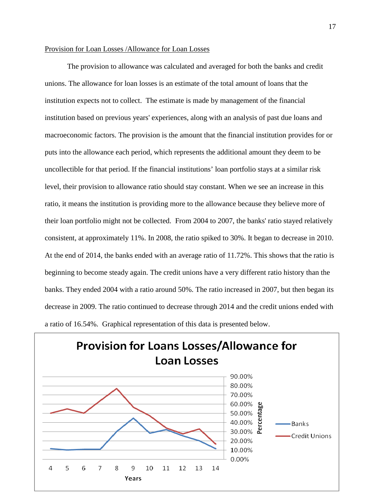#### Provision for Loan Losses /Allowance for Loan Losses

The provision to allowance was calculated and averaged for both the banks and credit unions. The allowance for loan losses is an estimate of the total amount of loans that the institution expects not to collect. The estimate is made by management of the financial institution based on previous years' experiences, along with an analysis of past due loans and macroeconomic factors. The provision is the amount that the financial institution provides for or puts into the allowance each period, which represents the additional amount they deem to be uncollectible for that period. If the financial institutions' loan portfolio stays at a similar risk level, their provision to allowance ratio should stay constant. When we see an increase in this ratio, it means the institution is providing more to the allowance because they believe more of their loan portfolio might not be collected. From 2004 to 2007, the banks' ratio stayed relatively consistent, at approximately 11%. In 2008, the ratio spiked to 30%. It began to decrease in 2010. At the end of 2014, the banks ended with an average ratio of 11.72%. This shows that the ratio is beginning to become steady again. The credit unions have a very different ratio history than the banks. They ended 2004 with a ratio around 50%. The ratio increased in 2007, but then began its decrease in 2009. The ratio continued to decrease through 2014 and the credit unions ended with a ratio of 16.54%. Graphical representation of this data is presented below.

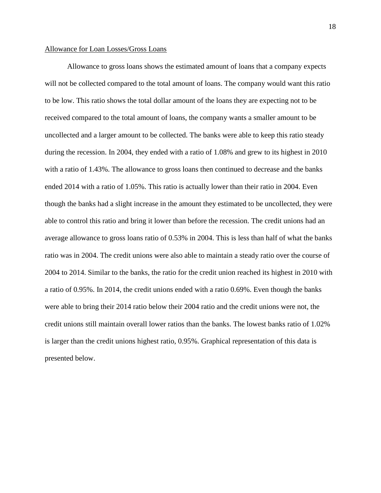#### Allowance for Loan Losses/Gross Loans

Allowance to gross loans shows the estimated amount of loans that a company expects will not be collected compared to the total amount of loans. The company would want this ratio to be low. This ratio shows the total dollar amount of the loans they are expecting not to be received compared to the total amount of loans, the company wants a smaller amount to be uncollected and a larger amount to be collected. The banks were able to keep this ratio steady during the recession. In 2004, they ended with a ratio of 1.08% and grew to its highest in 2010 with a ratio of 1.43%. The allowance to gross loans then continued to decrease and the banks ended 2014 with a ratio of 1.05%. This ratio is actually lower than their ratio in 2004. Even though the banks had a slight increase in the amount they estimated to be uncollected, they were able to control this ratio and bring it lower than before the recession. The credit unions had an average allowance to gross loans ratio of 0.53% in 2004. This is less than half of what the banks ratio was in 2004. The credit unions were also able to maintain a steady ratio over the course of 2004 to 2014. Similar to the banks, the ratio for the credit union reached its highest in 2010 with a ratio of 0.95%. In 2014, the credit unions ended with a ratio 0.69%. Even though the banks were able to bring their 2014 ratio below their 2004 ratio and the credit unions were not, the credit unions still maintain overall lower ratios than the banks. The lowest banks ratio of 1.02% is larger than the credit unions highest ratio, 0.95%. Graphical representation of this data is presented below.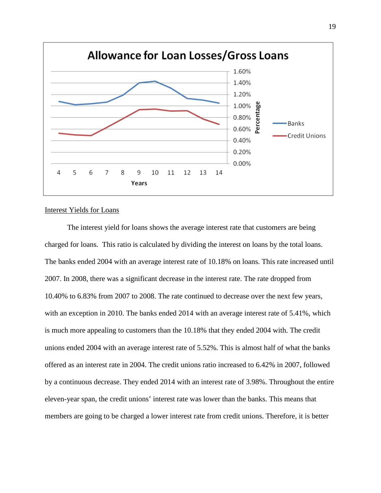

#### Interest Yields for Loans

The interest yield for loans shows the average interest rate that customers are being charged for loans. This ratio is calculated by dividing the interest on loans by the total loans. The banks ended 2004 with an average interest rate of 10.18% on loans. This rate increased until 2007. In 2008, there was a significant decrease in the interest rate. The rate dropped from 10.40% to 6.83% from 2007 to 2008. The rate continued to decrease over the next few years, with an exception in 2010. The banks ended 2014 with an average interest rate of 5.41%, which is much more appealing to customers than the 10.18% that they ended 2004 with. The credit unions ended 2004 with an average interest rate of 5.52%. This is almost half of what the banks offered as an interest rate in 2004. The credit unions ratio increased to 6.42% in 2007, followed by a continuous decrease. They ended 2014 with an interest rate of 3.98%. Throughout the entire eleven-year span, the credit unions' interest rate was lower than the banks. This means that members are going to be charged a lower interest rate from credit unions. Therefore, it is better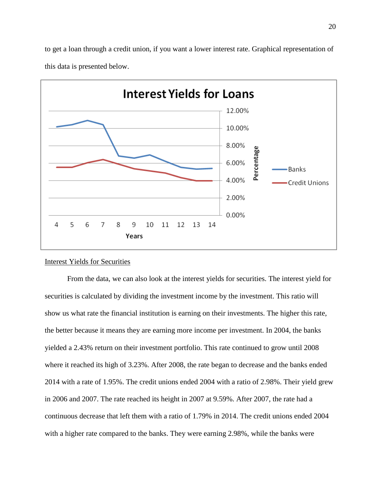

to get a loan through a credit union, if you want a lower interest rate. Graphical representation of this data is presented below.

## Interest Yields for Securities

6

7

8

9

Years

10

11

12

13

14

4

5

From the data, we can also look at the interest yields for securities. The interest yield for securities is calculated by dividing the investment income by the investment. This ratio will show us what rate the financial institution is earning on their investments. The higher this rate, the better because it means they are earning more income per investment. In 2004, the banks yielded a 2.43% return on their investment portfolio. This rate continued to grow until 2008 where it reached its high of 3.23%. After 2008, the rate began to decrease and the banks ended 2014 with a rate of 1.95%. The credit unions ended 2004 with a ratio of 2.98%. Their yield grew in 2006 and 2007. The rate reached its height in 2007 at 9.59%. After 2007, the rate had a continuous decrease that left them with a ratio of 1.79% in 2014. The credit unions ended 2004 with a higher rate compared to the banks. They were earning 2.98%, while the banks were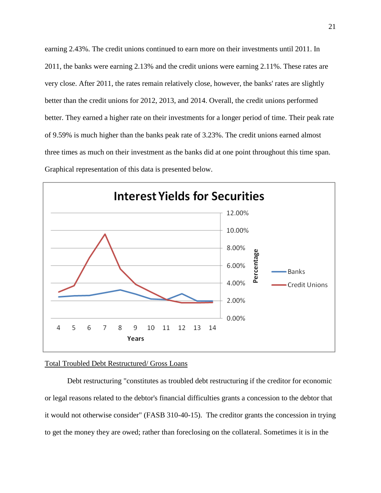earning 2.43%. The credit unions continued to earn more on their investments until 2011. In 2011, the banks were earning 2.13% and the credit unions were earning 2.11%. These rates are very close. After 2011, the rates remain relatively close, however, the banks' rates are slightly better than the credit unions for 2012, 2013, and 2014. Overall, the credit unions performed better. They earned a higher rate on their investments for a longer period of time. Their peak rate of 9.59% is much higher than the banks peak rate of 3.23%. The credit unions earned almost three times as much on their investment as the banks did at one point throughout this time span. Graphical representation of this data is presented below.



#### Total Troubled Debt Restructured/ Gross Loans

Debt restructuring "constitutes as troubled debt restructuring if the creditor for economic or legal reasons related to the debtor's financial difficulties grants a concession to the debtor that it would not otherwise consider" (FASB 310-40-15). The creditor grants the concession in trying to get the money they are owed; rather than foreclosing on the collateral. Sometimes it is in the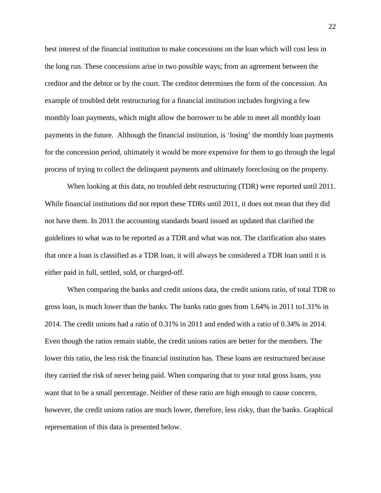best interest of the financial institution to make concessions on the loan which will cost less in the long run. These concessions arise in two possible ways; from an agreement between the creditor and the debtor or by the court. The creditor determines the form of the concession. An example of troubled debt restructuring for a financial institution includes forgiving a few monthly loan payments, which might allow the borrower to be able to meet all monthly loan payments in the future. Although the financial institution, is 'losing' the monthly loan payments for the concession period, ultimately it would be more expensive for them to go through the legal process of trying to collect the delinquent payments and ultimately foreclosing on the property.

When looking at this data, no troubled debt restructuring *(TDR)* were reported until 2011. While financial institutions did not report these TDRs until 2011, it does not mean that they did not have them. In 2011 the accounting standards board issued an updated that clarified the guidelines to what was to be reported as a TDR and what was not. The clarification also states that once a loan is classified as a TDR loan, it will always be considered a TDR loan until it is either paid in full, settled, sold, or charged-off.

When comparing the banks and credit unions data, the credit unions ratio, of total TDR to gross loan, is much lower than the banks. The banks ratio goes from 1.64% in 2011 to1.31% in 2014. The credit unions had a ratio of 0.31% in 2011 and ended with a ratio of 0.34% in 2014. Even though the ratios remain stable, the credit unions ratios are better for the members. The lower this ratio, the less risk the financial institution has. These loans are restructured because they carried the risk of never being paid. When comparing that to your total gross loans, you want that to be a small percentage. Neither of these ratio are high enough to cause concern, however, the credit unions ratios are much lower, therefore, less risky, than the banks. Graphical representation of this data is presented below.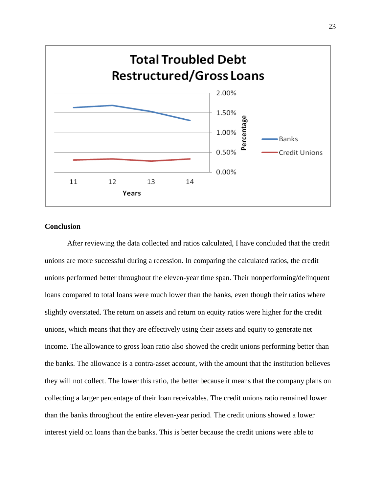

# **Conclusion**

After reviewing the data collected and ratios calculated, I have concluded that the credit unions are more successful during a recession. In comparing the calculated ratios, the credit unions performed better throughout the eleven-year time span. Their nonperforming/delinquent loans compared to total loans were much lower than the banks, even though their ratios where slightly overstated. The return on assets and return on equity ratios were higher for the credit unions, which means that they are effectively using their assets and equity to generate net income. The allowance to gross loan ratio also showed the credit unions performing better than the banks. The allowance is a contra-asset account, with the amount that the institution believes they will not collect. The lower this ratio, the better because it means that the company plans on collecting a larger percentage of their loan receivables. The credit unions ratio remained lower than the banks throughout the entire eleven-year period. The credit unions showed a lower interest yield on loans than the banks. This is better because the credit unions were able to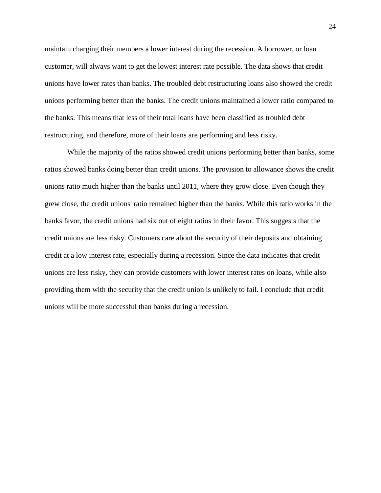maintain charging their members a lower interest during the recession. A borrower, or loan customer, will always want to get the lowest interest rate possible. The data shows that credit unions have lower rates than banks. The troubled debt restructuring loans also showed the credit unions performing better than the banks. The credit unions maintained a lower ratio compared to the banks. This means that less of their total loans have been classified as troubled debt restructuring, and therefore, more of their loans are performing and less risky.

While the majority of the ratios showed credit unions performing better than banks, some ratios showed banks doing better than credit unions. The provision to allowance shows the credit unions ratio much higher than the banks until 2011, where they grow close. Even though they grew close, the credit unions' ratio remained higher than the banks. While this ratio works in the banks favor, the credit unions had six out of eight ratios in their favor. This suggests that the credit unions are less risky. Customers care about the security of their deposits and obtaining credit at a low interest rate, especially during a recession. Since the data indicates that credit unions are less risky, they can provide customers with lower interest rates on loans, while also providing them with the security that the credit union is unlikely to fail. I conclude that credit unions will be more successful than banks during a recession.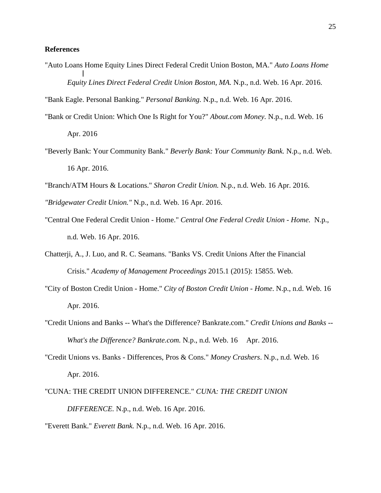### **References**

"Auto Loans Home Equity Lines Direct Federal Credit Union Boston, MA." *Auto Loans Home Equity Lines Direct Federal Credit Union Boston, MA.* N.p., n.d. Web. 16 Apr. 2016.

"Bank Eagle. Personal Banking." *Personal Banking.* N.p., n.d. Web. 16 Apr. 2016.

- "Bank or Credit Union: Which One Is Right for You?" *About.com Money.* N.p., n.d. Web. 16 Apr. 2016
- "Beverly Bank: Your Community Bank." *Beverly Bank: Your Community Bank.* N.p., n.d. Web. 16 Apr. 2016.
- "Branch/ATM Hours & Locations." *Sharon Credit Union.* N.p., n.d. Web. 16 Apr. 2016.

*"Bridgewater Credit Union."* N.p., n.d. Web. 16 Apr. 2016.

- "Central One Federal Credit Union Home." *Central One Federal Credit Union - Home.* N.p., n.d. Web. 16 Apr. 2016.
- Chatterji, A., J. Luo, and R. C. Seamans. "Banks VS. Credit Unions After the Financial Crisis." *Academy of Management Proceedings* 2015.1 (2015): 15855. Web.
- "City of Boston Credit Union Home." *City of Boston Credit Union - Home*. N.p., n.d. Web. 16 Apr. 2016.
- "Credit Unions and Banks -- What's the Difference? Bankrate.com." *Credit Unions and Banks -- What's the Difference? Bankrate.com.* N.p., n.d. Web. 16 Apr. 2016.
- "Credit Unions vs. Banks Differences, Pros & Cons." *Money Crashers*. N.p., n.d. Web. 16 Apr. 2016.
- "CUNA: THE CREDIT UNION DIFFERENCE." *CUNA: THE CREDIT UNION DIFFERENCE.* N.p., n.d. Web. 16 Apr. 2016.

"Everett Bank." *Everett Bank.* N.p., n.d. Web. 16 Apr. 2016.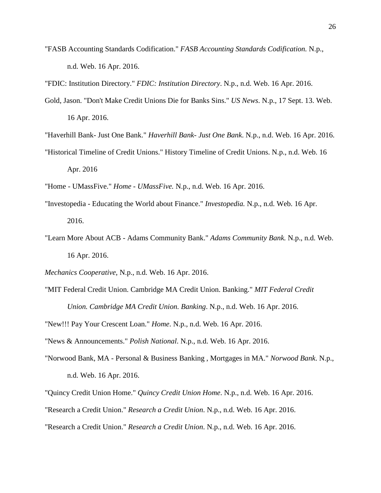"FASB Accounting Standards Codification." *FASB Accounting Standards Codification.* N.p., n.d. Web. 16 Apr. 2016.

"FDIC: Institution Directory." *FDIC: Institution Directory*. N.p., n.d. Web. 16 Apr. 2016.

Gold, Jason. "Don't Make Credit Unions Die for Banks Sins." *US News*. N.p., 17 Sept. 13. Web. 16 Apr. 2016.

"Haverhill Bank- Just One Bank." *Haverhill Bank- Just One Bank*. N.p., n.d. Web. 16 Apr. 2016.

"Historical Timeline of Credit Unions." History Timeline of Credit Unions. N.p., n.d. Web. 16

"Home - UMassFive." *Home - UMassFive.* N.p., n.d. Web. 16 Apr. 2016.

- "Investopedia Educating the World about Finance." *Investopedia.* N.p., n.d. Web. 16 Apr. 2016.
- "Learn More About ACB Adams Community Bank." *Adams Community Bank.* N.p., n.d. Web. 16 Apr. 2016.
- *Mechanics Cooperative*, N.p., n.d. Web. 16 Apr. 2016.
- "MIT Federal Credit Union. Cambridge MA Credit Union. Banking." *MIT Federal Credit Union. Cambridge MA Credit Union. Banking*. N.p., n.d. Web. 16 Apr. 2016.

"New!!! Pay Your Crescent Loan." *Home*. N.p., n.d. Web. 16 Apr. 2016.

"News & Announcements." *Polish National*. N.p., n.d. Web. 16 Apr. 2016.

"Norwood Bank, MA - Personal & Business Banking , Mortgages in MA." *Norwood Bank*. N.p., n.d. Web. 16 Apr. 2016.

"Quincy Credit Union Home." *Quincy Credit Union Home*. N.p., n.d. Web. 16 Apr. 2016.

- "Research a Credit Union." *Research a Credit Union*. N.p., n.d. Web. 16 Apr. 2016.
- "Research a Credit Union." *Research a Credit Union*. N.p., n.d. Web. 16 Apr. 2016.

Apr. 2016